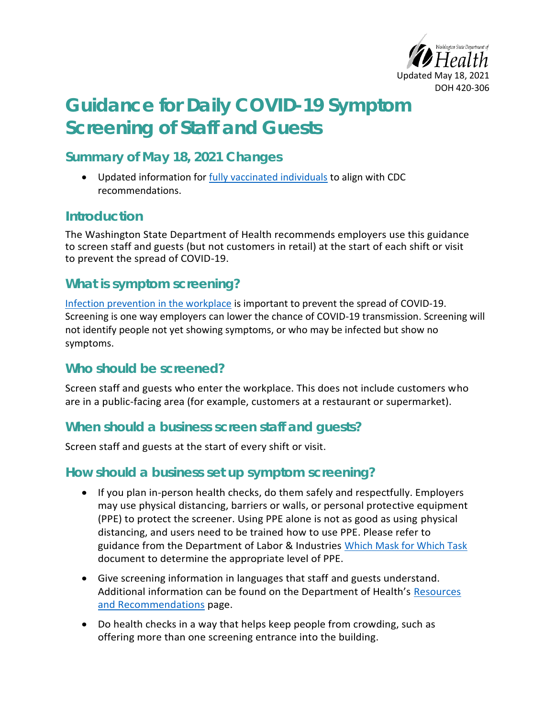

# **Guidance for Daily COVID-19 Symptom Screening of Staff and Guests**

### **Summary of May 18, 2021 Changes**

• Updated information for [fully vaccinated individuals](#page-3-0) to align with CDC recommendations.

#### **Introduction**

The Washington State Department of Health recommends employers use this guidance to screen staff and guests (but not customers in retail) at the start of each shift or visit to prevent the spread of COVID-19.

## **What is symptom screening?**

[Infection prevention in the workplace](https://www.cdc.gov/coronavirus/2019-ncov/community/guidance-business-response.html) is important to prevent the spread of COVID-19. Screening is one way employers can lower the chance of COVID-19 transmission. Screening will not identify people not yet showing symptoms, or who may be infected but show no symptoms.

# **Who should be screened?**

Screen staff and guests who enter the workplace. This does not include customers who are in a public-facing area (for example, customers at a restaurant or supermarket).

### **When should a business screen staff and guests?**

Screen staff and guests at the start of every shift or visit.

#### **How should a business set up symptom screening?**

- If you plan in-person health checks, do them safely and respectfully. Employers may use physical distancing, barriers or walls, or personal protective equipment (PPE) to protect the screener. Using PPE alone is not as good as using physical distancing, and users need to be trained how to use PPE. Please refer to guidance from the Department of Labor & Industries [Which Mask for Which Task](https://www.lni.wa.gov/forms-publications/F414-168-000.pdf) document to determine the appropriate level of PPE.
- Give screening information in languages that staff and guests understand. Additional information can be found on the Department of Health's [Resources](https://www.doh.wa.gov/emergencies/covid19/resourcesandrecommendations)  [and Recommendations](https://www.doh.wa.gov/emergencies/covid19/resourcesandrecommendations) page.
- Do health checks in a way that helps keep people from crowding, such as offering more than one screening entrance into the building.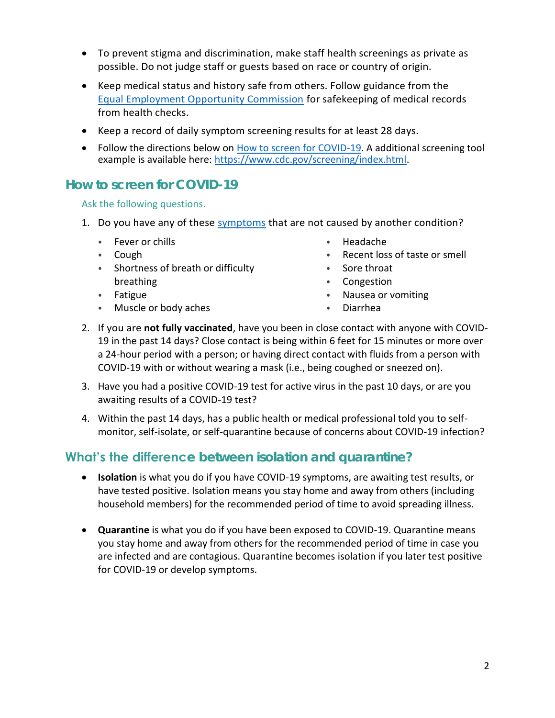- To prevent stigma and discrimination, make staff health screenings as private as possible. Do not judge staff or guests based on race or country of origin.
- Keep medical status and history safe from others. Follow guidance from the [Equal Employment Opportunity Commission](https://www.eeoc.gov/wysk/what-you-should-know-about-covid-19-and-ada-rehabilitation-act-and-other-eeo-laws) for safekeeping of medical records from health checks.
- Keep a record of daily symptom screening results for at least 28 days.
- Follow the directions below on [How to screen for COVID-19.](#page-1-0) A additional screening tool example is available here: [https://www.cdc.gov/screening/index.html.](https://www.cdc.gov/screening/index.html)

### <span id="page-1-0"></span>**How to screen for COVID-19**

Ask the following questions.

- 1. Do you have any of these [symptoms](https://www.cdc.gov/coronavirus/2019-ncov/symptoms-testing/symptoms.html) that are not caused by another condition?
	- Fever or chills
	- Cough
	- Shortness of breath or difficulty breathing
	- Fatigue
	- Muscle or body aches
- Headache
- Recent loss of taste or smell
- Sore throat
- Congestion
- Nausea or vomiting
- Diarrhea
- 2. If you are **not fully vaccinated**, have you been in close contact with anyone with COVID-19 in the past 14 days? Close contact is being within 6 feet for 15 minutes or more over a 24-hour period with a person; or having direct contact with fluids from a person with COVID-19 with or without wearing a mask (i.e., being coughed or sneezed on).
- 3. Have you had a positive COVID-19 test for active virus in the past 10 days, or are you awaiting results of a COVID-19 test?
- 4. Within the past 14 days, has a public health or medical professional told you to selfmonitor, self-isolate, or self-quarantine because of concerns about COVID-19 infection?

### **What's the difference between isolation and quarantine?**

- **Isolation** is what you do if you have COVID-19 symptoms, are awaiting test results, or have tested positive. Isolation means you stay home and away from others (including household members) for the recommended period of time to avoid spreading illness.
- **Quarantine** is what you do if you have been exposed to COVID-19. Quarantine means you stay home and away from others for the recommended period of time in case you are infected and are contagious. Quarantine becomes isolation if you later test positive for COVID-19 or develop symptoms.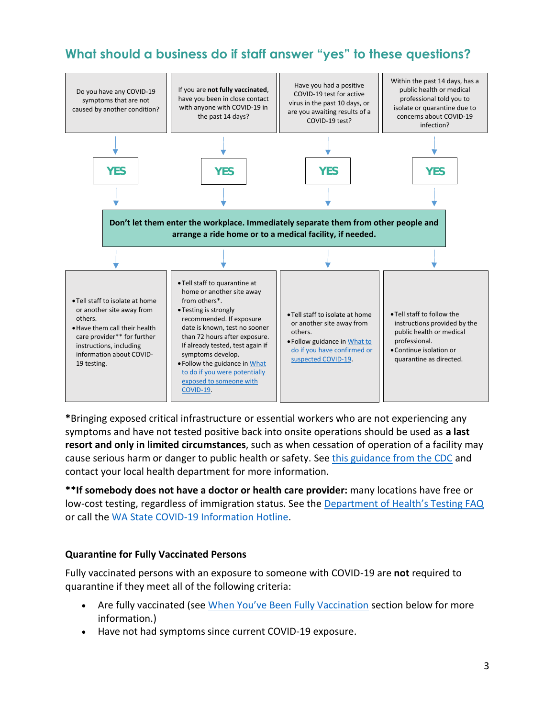# **What should a business do if staff answer "yes" to these questions?**



**\***Bringing exposed critical infrastructure or essential workers who are not experiencing any symptoms and have not tested positive back into onsite operations should be used as **a last resort and only in limited circumstances**, such as when cessation of operation of a facility may cause serious harm or danger to public health or safety. See [this guidance from the CDC](https://www.cdc.gov/coronavirus/2019-ncov/community/critical-infrastructure-sectors.html) and contact your local health department for more information.

**\*\*If somebody does not have a doctor or health care provider:** many locations have free or low-cost testing, regardless of immigration status. See the [Department of Health's Testing FAQ](https://www.doh.wa.gov/Emergencies/COVID19/TestingforCOVID19) or call the [WA State COVID-19 Information Hotline.](https://www.doh.wa.gov/Emergencies/COVID19/ContactUs)

#### **Quarantine for Fully Vaccinated Persons**

Fully vaccinated persons with an exposure to someone with COVID-19 are **not** required to quarantine if they meet all of the following criteria:

- Are fully vaccinated (see [When You've Been Fully Vaccination](#page-3-0) section below for more information.)
- Have not had symptoms since current COVID-19 exposure.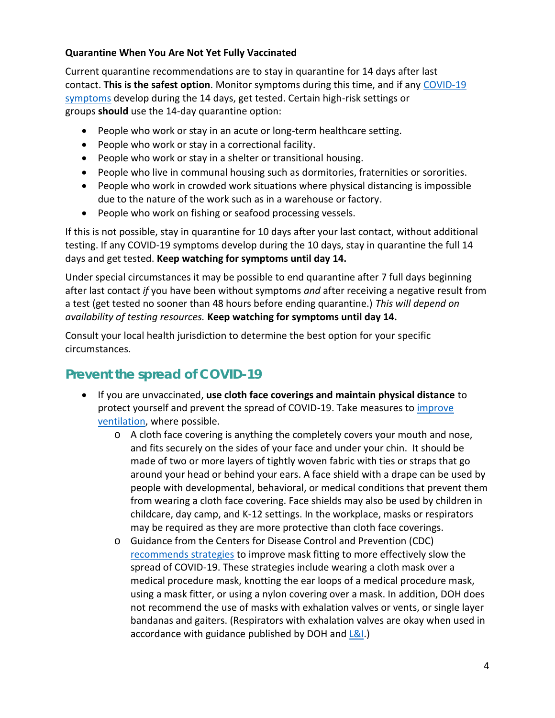#### **Quarantine When You Are Not Yet Fully Vaccinated**

Current quarantine recommendations are to stay in quarantine for 14 days after last contact. **This is the safest option**. Monitor symptoms during this time, and if any [COVID-19](https://www.cdc.gov/coronavirus/2019-ncov/symptoms-testing/symptoms.html)  [symptoms](https://www.cdc.gov/coronavirus/2019-ncov/symptoms-testing/symptoms.html) develop during the 14 days, get tested. Certain high-risk settings or groups **should** use the 14-day quarantine option:

- People who work or stay in an acute or long-term healthcare setting.
- People who work or stay in a correctional facility.
- People who work or stay in a shelter or transitional housing.
- People who live in communal housing such as dormitories, fraternities or sororities.
- People who work in crowded work situations where physical distancing is impossible due to the nature of the work such as in a warehouse or factory.
- People who work on fishing or seafood processing vessels.

If this is not possible, stay in quarantine for 10 days after your last contact, without additional testing. If any COVID-19 symptoms develop during the 10 days, stay in quarantine the full 14 days and get tested. **Keep watching for symptoms until day 14.**

Under special circumstances it may be possible to end quarantine after 7 full days beginning after last contact *if* you have been without symptoms *and* after receiving a negative result from a test (get tested no sooner than 48 hours before ending quarantine.) *This will depend on availability of testing resources.* **Keep watching for symptoms until day 14.**

Consult your local health jurisdiction to determine the best option for your specific circumstances.

# **Prevent the spread of COVID-19**

- <span id="page-3-0"></span>• If you are unvaccinated, **use cloth face coverings and maintain physical distance** to protect yourself and prevent the spread of COVID-19. Take measures to [improve](https://www.cdc.gov/coronavirus/2019-ncov/community/ventilation.html)  [ventilation,](https://www.cdc.gov/coronavirus/2019-ncov/community/ventilation.html) where possible.
	- $\circ$  A cloth face covering is anything the completely covers your mouth and nose, and fits securely on the sides of your face and under your chin. It should be made of two or more layers of tightly woven fabric with ties or straps that go around your head or behind your ears. A face shield with a drape can be used by people with developmental, behavioral, or medical conditions that prevent them from wearing a cloth face covering. Face shields may also be used by children in childcare, day camp, and K-12 settings. In the workplace, masks or respirators may be required as they are more protective than cloth face coverings.
	- o Guidance from the Centers for Disease Control and Prevention (CDC) [recommends strategies](https://www.cdc.gov/coronavirus/2019-ncov/your-health/effective-masks.html) to improve mask fitting to more effectively slow the spread of COVID-19. These strategies include wearing a cloth mask over a medical procedure mask, knotting the ear loops of a medical procedure mask, using a mask fitter, or using a nylon covering over a mask. In addition, DOH does not recommend the use of masks with exhalation valves or vents, or single layer bandanas and gaiters. (Respirators with exhalation valves are okay when used in accordance with guidance published by DOH and [L&I.](https://lni.wa.gov/agency/outreach/coronavirus-covid-19-worker-face-covering-and-mask-requirements-questions))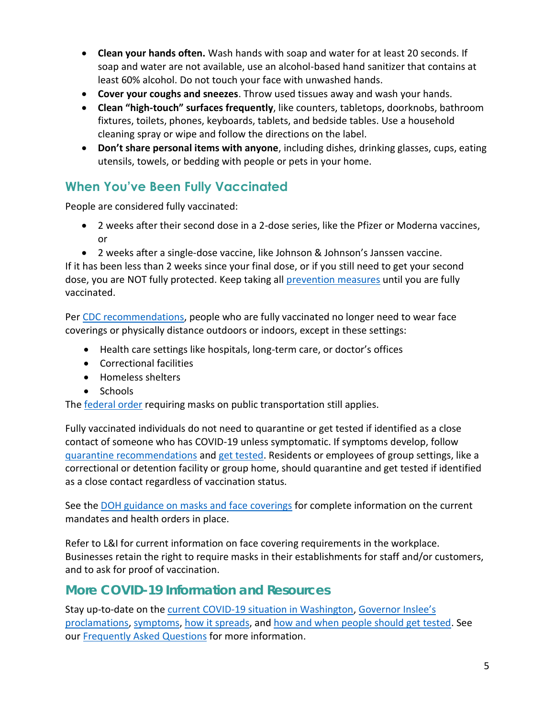- **Clean your hands often.** Wash hands with soap and water for at least 20 seconds. If soap and water are not available, use an alcohol-based hand sanitizer that contains at least 60% alcohol. Do not touch your face with unwashed hands.
- **Cover your coughs and sneezes**. Throw used tissues away and wash your hands.
- **Clean "high-touch" surfaces frequently**, like counters, tabletops, doorknobs, bathroom fixtures, toilets, phones, keyboards, tablets, and bedside tables. Use a household cleaning spray or wipe and follow the directions on the label.
- **Don't share personal items with anyone**, including dishes, drinking glasses, cups, eating utensils, towels, or bedding with people or pets in your home.

## **When You've Been Fully Vaccinated**

People are considered fully vaccinated:

- 2 weeks after their second dose in a 2-dose series, like the Pfizer or Moderna vaccines, or
- 2 weeks after a single-dose vaccine, like Johnson & Johnson's Janssen vaccine.

If it has been less than 2 weeks since your final dose, or if you still need to get your second dose, you are NOT fully protected. Keep taking all [prevention measures](https://www.cdc.gov/coronavirus/2019-ncov/prevent-getting-sick/prevention.html) until you are fully vaccinated.

Per [CDC recommendations,](https://www.cdc.gov/coronavirus/2019-ncov/vaccines/fully-vaccinated-guidance.html) people who are fully vaccinated no longer need to wear face coverings or physically distance outdoors or indoors, except in these settings:

- Health care settings like hospitals, long-term care, or doctor's offices
- Correctional facilities
- Homeless shelters
- Schools

The [federal order](https://www.cdc.gov/coronavirus/2019-ncov/travelers/face-masks-public-transportation.html) requiring masks on public transportation still applies.

Fully vaccinated individuals do not need to quarantine or get tested if identified as a close contact of someone who has COVID-19 unless symptomatic. If symptoms develop, follow [quarantine recommendations](https://www.doh.wa.gov/Emergencies/COVID19/CaseInvestigationsandContactTracing/IsolationandQuarantineforCOVID19) and [get tested.](https://www.doh.wa.gov/Emergencies/COVID19/TestingforCOVID19) Residents or employees of group settings, like a correctional or detention facility or group home, should quarantine and get tested if identified as a close contact regardless of vaccination status.

See the [DOH guidance on masks and](https://www.doh.wa.gov/Portals/1/Documents/1600/coronavirus/ClothFacemasks.pdf) face coverings for complete information on the current mandates and health orders in place.

Refer to L&I for current information on face covering requirements in the workplace. Businesses retain the right to require masks in their establishments for staff and/or customers, and to ask for proof of vaccination.

#### **More COVID-19 Information and Resources**

Stay up-to-date on the [current COVID-19 situation in Washington,](https://www.doh.wa.gov/Emergencies/Coronavirus) [Governor Inslee's](https://www.governor.wa.gov/office-governor/official-actions/proclamations)  [proclamations,](https://www.governor.wa.gov/office-governor/official-actions/proclamations) [symptoms,](https://www.doh.wa.gov/Emergencies/NovelCoronavirusOutbreak2020/FrequentlyAskedQuestions#what-are-symptoms) how [it spreads,](https://www.doh.wa.gov/Emergencies/NovelCoronavirusOutbreak2020/FrequentlyAskedQuestions#spread) and [how and when people should get tested.](https://www.doh.wa.gov/Emergencies/NovelCoronavirusOutbreak2020/TestingforCOVID19) See our [Frequently Asked Questions](https://www.doh.wa.gov/Emergencies/NovelCoronavirusOutbreak2020/FrequentlyAskedQuestions) for more information.